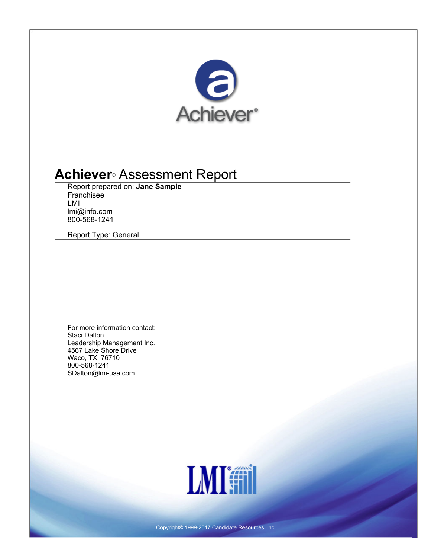

# **Achiever® Assessment Report**

**Report prepared on: Jane Sample Franchisee LMI lmi@info.com 800-568-1241**

**Report Type: General**

**For more information contact: Staci Dalton Leadership Management Inc. 4567 Lake Shore Drive Waco, TX 76710 800-568-1241 SDalton@lmi-usa.com**



**Copyright© 1999-2017 Candidate Resources, Inc.**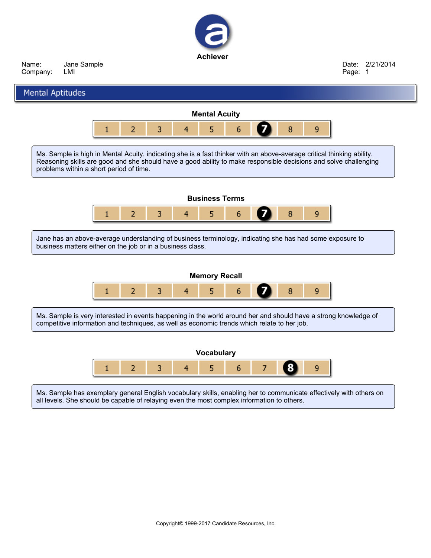

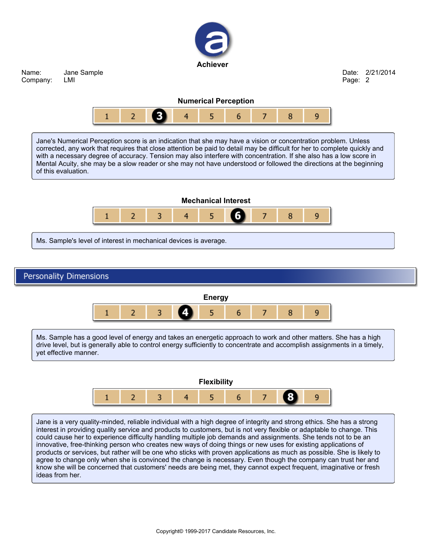

**Copyright© 1999-2017 Candidate Resources, Inc.**

Ms. Sample has a good level of energy and takes an energetic approach to work and other matters. She has a high drive level, but is generally able to control energy sufficiently to concentrate and accomplish assignments in a timely,

**Flexibility**

5

7

9

6

Jane is a very quality-minded, reliable individual with a high degree of integrity and strong ethics. She has a strong interest in providing quality service and products to customers, but is not very flexible or adaptable to change. This could cause her to experience difficulty handling multiple job demands and assignments. She tends not to be an innovative, free-thinking person who creates new ways of doing things or new uses for existing applications of products or services, but rather will be one who sticks with proven applications as much as possible. She is likely to agree to change only when she is convinced the change is necessary. Even though the company can trust her and know she will be concerned that customers' needs are being met, they cannot expect frequent, imaginative or fresh

4

**yet effective manner.**

 $\overline{2}$ 

 $\mathbf{1}$ 

3

**ideas from her.**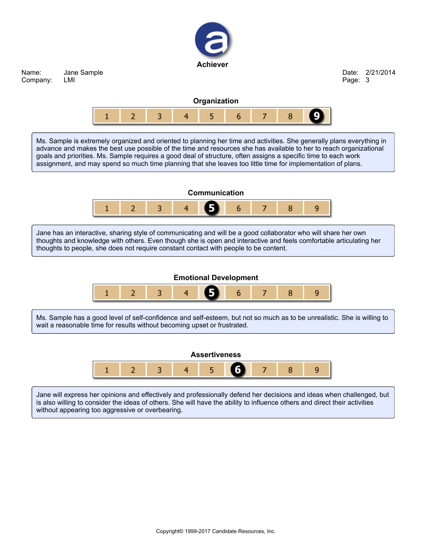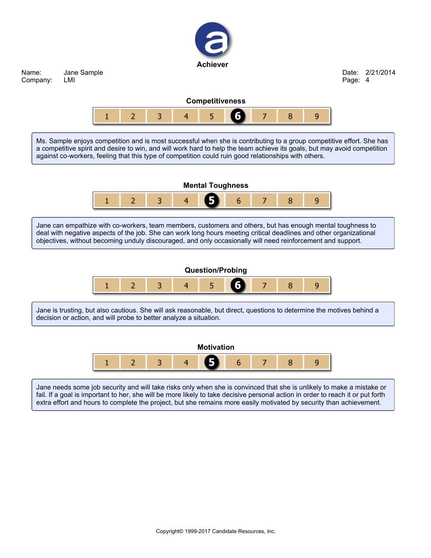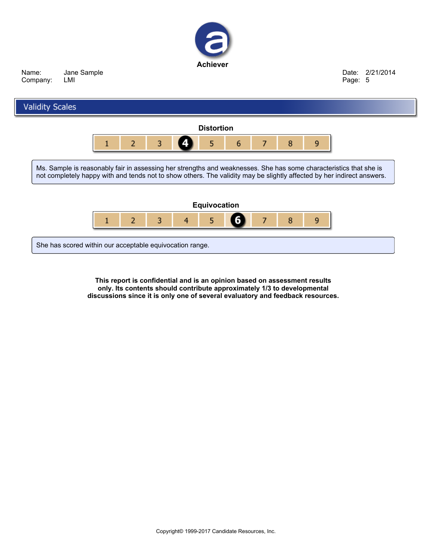



**This report is confidential and is an opinion based on assessment results only. Its contents should contribute approximately 1/3 to developmental discussions since it is only one of several evaluatory and feedback resources.**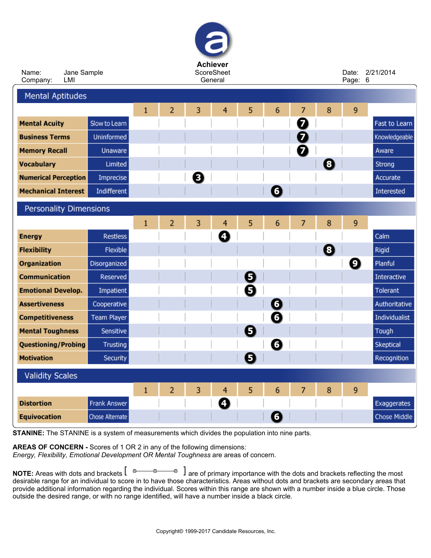| <b>Achiever</b><br><b>ScoreSheet</b><br>Name:<br>Date: |                    |              |                |   |                |   |           |                |   | 2/21/2014 |               |
|--------------------------------------------------------|--------------------|--------------|----------------|---|----------------|---|-----------|----------------|---|-----------|---------------|
| Jane Sample<br>LMI<br>Company:                         |                    |              | General        |   |                |   |           |                |   | Page: 6   |               |
| <b>Mental Aptitudes</b>                                |                    |              |                |   |                |   |           |                |   |           |               |
|                                                        |                    | 1            | 2              | 3 | 4              | 5 | 6         | 7              | 8 | 9         |               |
| <b>Mental Acuity</b>                                   | Slow to Learn      |              |                |   |                |   |           | Ø              |   |           | Fast to Learn |
| <b>Business Terms</b>                                  | Uninformed         |              |                |   |                |   |           | 7              |   |           | Knowledgeable |
| <b>Memory Recall</b>                                   | Unaware            |              |                |   |                |   |           | Ø              |   |           | Aware         |
| <b>Vocabulary</b>                                      | Limited            |              |                |   |                |   |           |                | 0 |           | Strong        |
| <b>Numerical Perception</b>                            | Imprecise          |              |                | Θ |                |   |           |                |   |           | Accurate      |
| <b>Mechanical Interest</b>                             | Indifferent        |              |                |   |                |   | 6         |                |   |           | Interested    |
| <b>Personality Dimensions</b>                          |                    |              |                |   |                |   |           |                |   |           |               |
|                                                        |                    | $\mathbf{1}$ | 2              | 3 | $\overline{4}$ | 5 | 6         | 7              | 8 | 9         |               |
| <b>Energy</b>                                          | <b>Restless</b>    |              |                |   | Ø              |   |           |                |   |           | Calm          |
| <b>Flexibility</b>                                     | Flexible           |              |                |   |                |   |           |                | 8 |           | Rigid         |
| Organization                                           | Disorganized       |              |                |   |                |   |           |                |   | Ø         | Planful       |
| <b>Communication</b>                                   | Reserved           |              |                |   |                | 0 |           |                |   |           | Interactive   |
| <b>Emotional Develop.</b>                              | Impatient          |              |                |   |                | Đ |           |                |   |           | Tolerant      |
| <b>Assertiveness</b>                                   | Cooperative        |              |                |   |                |   | $\bullet$ |                |   |           | Authoritative |
| <b>Competitiveness</b>                                 | <b>Team Player</b> |              |                |   |                |   | 6         |                |   |           | Individualist |
| <b>Mental Toughness</b>                                | Sensitive          |              |                |   |                | 5 |           |                |   |           | Tough         |
| <b>Questioning/Probing</b>                             | Trusting           |              |                |   |                |   | O         |                |   |           | Skeptical     |
| <b>Motivation</b>                                      | Security           |              |                |   |                | Θ |           |                |   |           | Recognition   |
| <b>Validity Scales</b>                                 |                    |              |                |   |                |   |           |                |   |           |               |
|                                                        |                    | $\mathbf{1}$ | $\overline{2}$ | 3 | $\overline{4}$ | 5 | 6         | $\overline{7}$ | 8 | 9         |               |
| <b>Distortion</b>                                      | Frank Answer       |              |                |   | O              |   |           |                |   |           | Exaggerates   |
| <b>Equivocation</b>                                    | Chose Alternate    |              |                |   |                |   | $\bullet$ |                |   |           | Chose Middle  |
|                                                        |                    |              |                |   |                |   |           |                |   |           |               |

**STANINE: The STANINE is a system of measurements which divides the population into nine parts.**

**AREAS OF CONCERN - Scores of 1 OR 2 in any of the following dimensions:**

*Energy, Flexibility, Emotional Development OR Mental Toughness* **are areas of concern.**

NOTE: Areas with dots and brackets  $[ \circ \circ \circ \circ]$  are of primary importance with the dots and brackets reflecting the most desirable range for an individual to score in to have those characteristics. Areas without dots and brackets are secondary areas that provide additional information regarding the individual. Scores within this range are shown with a number inside a blue circle. Those **outside the desired range, or with no range identified, will have a number inside a black circle.**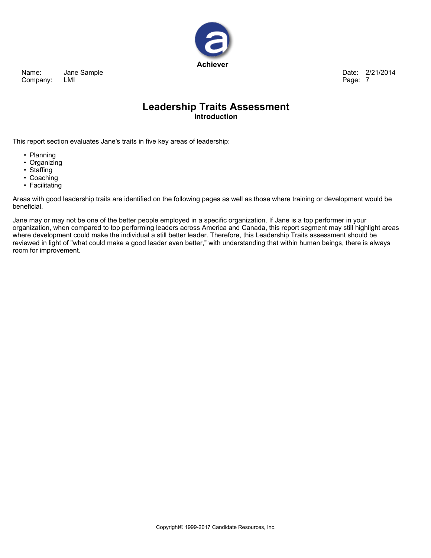

**Date: 2/21/2014 Page: 7**

### **Leadership Traits Assessment Introduction**

**This report section evaluates Jane's traits in five key areas of leadership:**

- **• Planning**
- **• Organizing**
- **• Staffing**
- **• Coaching**
- **• Facilitating**

Areas with good leadership traits are identified on the following pages as well as those where training or development would be **beneficial.**

Jane may or may not be one of the better people employed in a specific organization. If Jane is a top performer in your organization, when compared to top performing leaders across America and Canada, this report segment may still highlight areas where development could make the individual a still better leader. Therefore, this Leadership Traits assessment should be reviewed in light of "what could make a good leader even better," with understanding that within human beings, there is always **room for improvement.**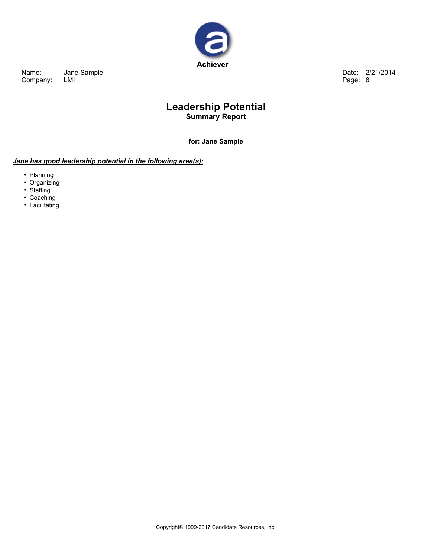

**Date: 2/21/2014 Page: 8**

### **Leadership Potential Summary Report**

**for: Jane Sample**

### *Jane has good leadership potential in the following area(s):*

- **• Planning**
- **• Organizing**
- **• Staffing**
- **• Coaching**
- **• Facilitating**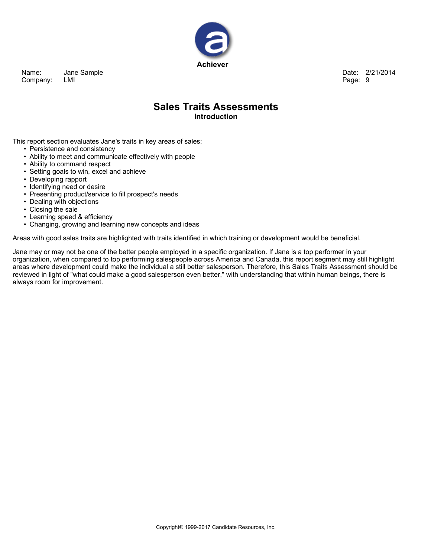

**Date: 2/21/2014 Page: 9**

### **Sales Traits Assessments Introduction**

**This report section evaluates Jane's traits in key areas of sales:**

- **• Persistence and consistency**
- **• Ability to meet and communicate effectively with people**
- **• Ability to command respect**
- **• Setting goals to win, excel and achieve**
- **• Developing rapport**
- **• Identifying need or desire**
- **• Presenting product/service to fill prospect's needs**
- **• Dealing with objections**
- **• Closing the sale**
- **• Learning speed & efficiency**
- **• Changing, growing and learning new concepts and ideas**

Areas with good sales traits are highlighted with traits identified in which training or development would be beneficial.

Jane may or may not be one of the better people employed in a specific organization. If Jane is a top performer in your organization, when compared to top performing salespeople across America and Canada, this report segment may still highlight areas where development could make the individual a still better salesperson. Therefore, this Sales Traits Assessment should be reviewed in light of "what could make a good salesperson even better," with understanding that within human beings, there is **always room for improvement.**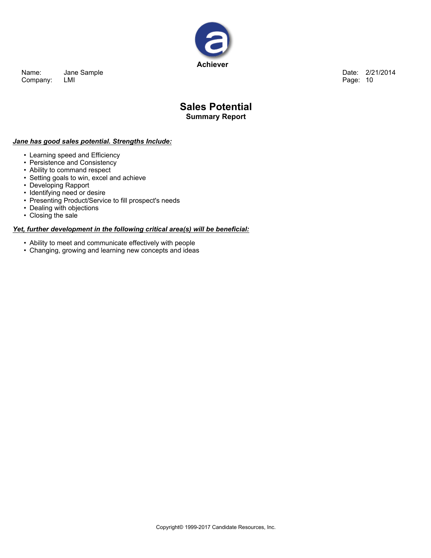

**Date: 2/21/2014 Page: 10**

### **Sales Potential Summary Report**

#### *Jane has good sales potential. Strengths Include:*

- **• Learning speed and Efficiency**
- **• Persistence and Consistency**
- **• Ability to command respect**
- **• Setting goals to win, excel and achieve**
- **• Developing Rapport**
- **• Identifying need or desire**
- **• Presenting Product/Service to fill prospect's needs**
- **• Dealing with objections**
- **• Closing the sale**

#### *Yet, further development in the following critical area(s) will be beneficial:*

- **• Ability to meet and communicate effectively with people**
- **• Changing, growing and learning new concepts and ideas**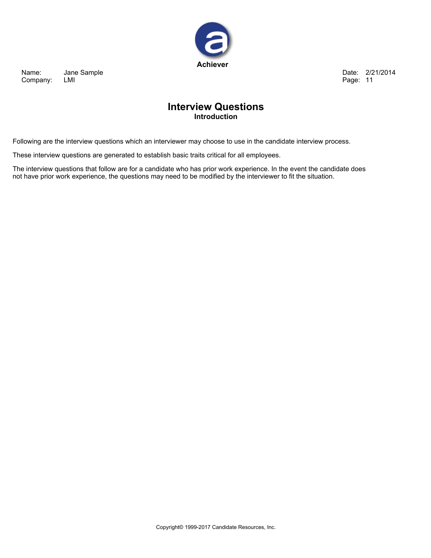

**Date: 2/21/2014 Page: 11**

### **Interview Questions Introduction**

Following are the interview questions which an interviewer may choose to use in the candidate interview process.

**These interview questions are generated to establish basic traits critical for all employees.**

The interview questions that follow are for a candidate who has prior work experience. In the event the candidate does not have prior work experience, the questions may need to be modified by the interviewer to fit the situation.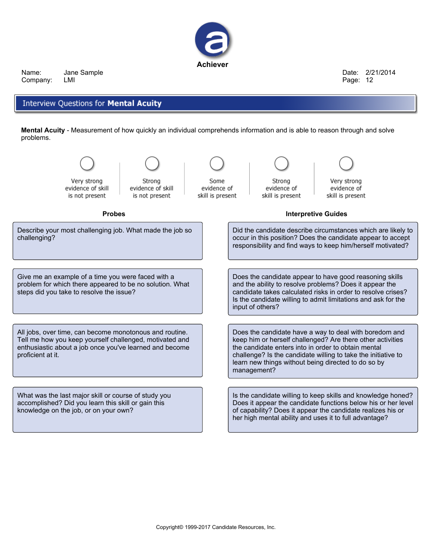

**Date: 2/21/2014 Page: 12**

### **Interview Questions for Mental Acuity**

Mental Acuity - Measurement of how quickly an individual comprehends information and is able to reason through and solve **problems.**

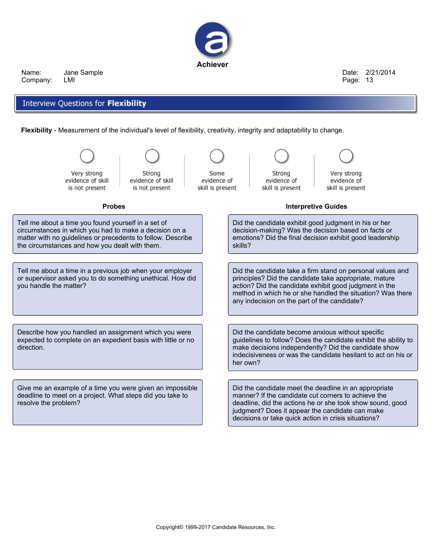

**Date: 2/21/2014 Page: 13**

### Interview Questions for Flexibility

**Flexibility - Measurement of the individual's level of flexibility, creativity, integrity and adaptability to change.**

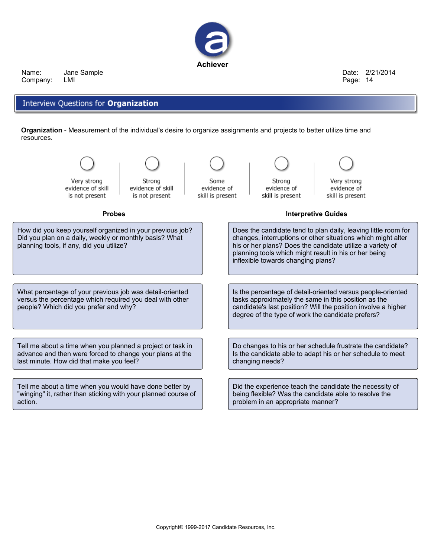

**Date: 2/21/2014 Page: 14**

### Interview Questions for Organization

Organization - Measurement of the individual's desire to organize assignments and projects to better utilize time and **resources.**

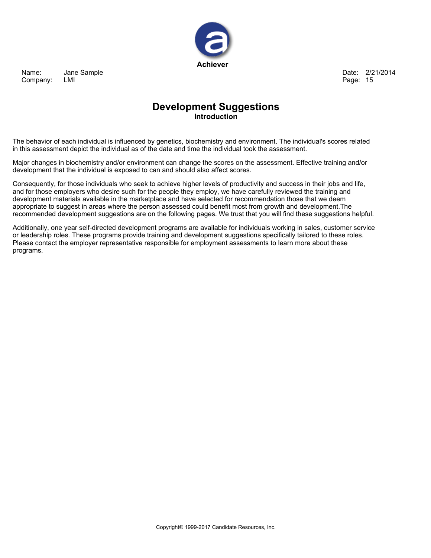

**Date: 2/21/2014 Page: 15**

## **Development Suggestions Introduction**

The behavior of each individual is influenced by genetics, biochemistry and environment. The individual's scores related **in this assessment depict the individual as of the date and time the individual took the assessment.**

Major changes in biochemistry and/or environment can change the scores on the assessment. Effective training and/or **development that the individual is exposed to can and should also affect scores.**

Consequently, for those individuals who seek to achieve higher levels of productivity and success in their jobs and life, and for those employers who desire such for the people they employ, we have carefully reviewed the training and **development materials available in the marketplace and have selected for recommendation those that we deem appropriate to suggest in areas where the person assessed could benefit most from growth and development.The** recommended development suggestions are on the following pages. We trust that you will find these suggestions helpful.

Additionally, one year self-directed development programs are available for individuals working in sales, customer service **or leadership roles. These programs provide training and development suggestions specifically tailored to these roles. Please contact the employer representative responsible for employment assessments to learn more about these programs.**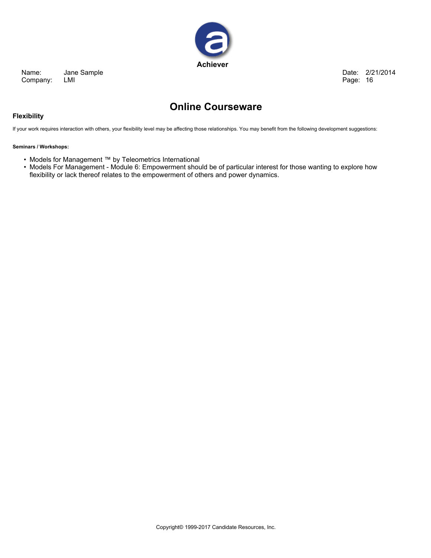

**Date: 2/21/2014 Page: 16**

# **Online Courseware**

#### **Flexibility**

If your work requires interaction with others, your flexibility level may be affecting those relationships. You may benefit from the following development suggestions:

#### **Seminars / Workshops:**

- **• Models for Management ™ by Teleometrics International**
- Models For Management Module 6: Empowerment should be of particular interest for those wanting to explore how **flexibility or lack thereof relates to the empowerment of others and power dynamics.**